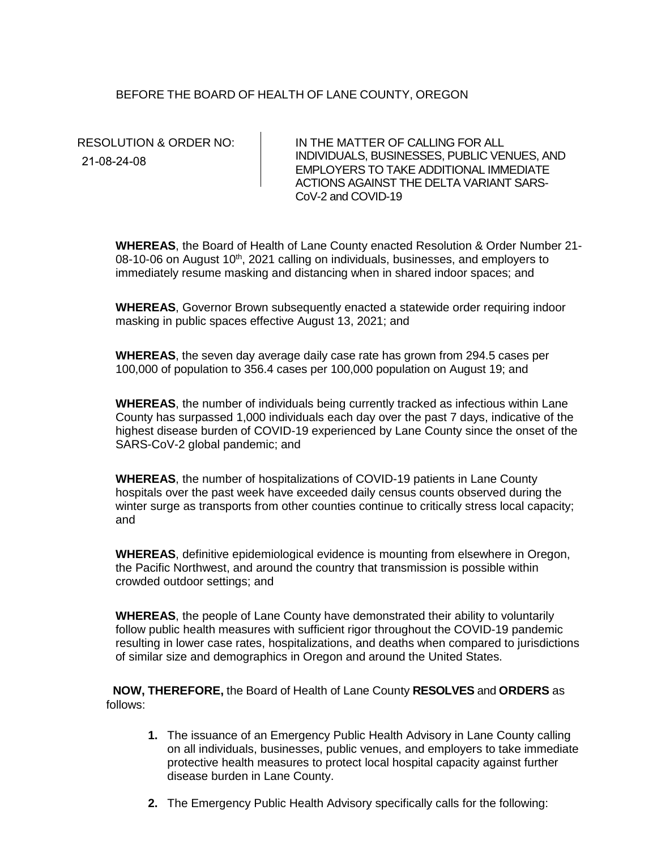## BEFORE THE BOARD OF HEALTH OF LANE COUNTY, OREGON

21-08-24-08

RESOLUTION & ORDER NO: IN THE MATTER OF CALLING FOR ALL INDIVIDUALS, BUSINESSES, PUBLIC VENUES, AND EMPLOYERS TO TAKE ADDITIONAL IMMEDIATE ACTIONS AGAINST THE DELTA VARIANT SARS-CoV-2 and COVID-19

**WHEREAS**, the Board of Health of Lane County enacted Resolution & Order Number 21- 08-10-06 on August 10<sup>th</sup>, 2021 calling on individuals, businesses, and employers to immediately resume masking and distancing when in shared indoor spaces; and

**WHEREAS**, Governor Brown subsequently enacted a statewide order requiring indoor masking in public spaces effective August 13, 2021; and

**WHEREAS**, the seven day average daily case rate has grown from 294.5 cases per 100,000 of population to 356.4 cases per 100,000 population on August 19; and

**WHEREAS**, the number of individuals being currently tracked as infectious within Lane County has surpassed 1,000 individuals each day over the past 7 days, indicative of the highest disease burden of COVID-19 experienced by Lane County since the onset of the SARS-CoV-2 global pandemic; and

**WHEREAS**, the number of hospitalizations of COVID-19 patients in Lane County hospitals over the past week have exceeded daily census counts observed during the winter surge as transports from other counties continue to critically stress local capacity; and

**WHEREAS**, definitive epidemiological evidence is mounting from elsewhere in Oregon, the Pacific Northwest, and around the country that transmission is possible within crowded outdoor settings; and

**WHEREAS**, the people of Lane County have demonstrated their ability to voluntarily follow public health measures with sufficient rigor throughout the COVID-19 pandemic resulting in lower case rates, hospitalizations, and deaths when compared to jurisdictions of similar size and demographics in Oregon and around the United States.

 **NOW, THEREFORE,** the Board of Health of Lane County **RESOLVES** and **ORDERS** as follows:

- **1.** The issuance of an Emergency Public Health Advisory in Lane County calling on all individuals, businesses, public venues, and employers to take immediate protective health measures to protect local hospital capacity against further disease burden in Lane County.
- **2.** The Emergency Public Health Advisory specifically calls for the following: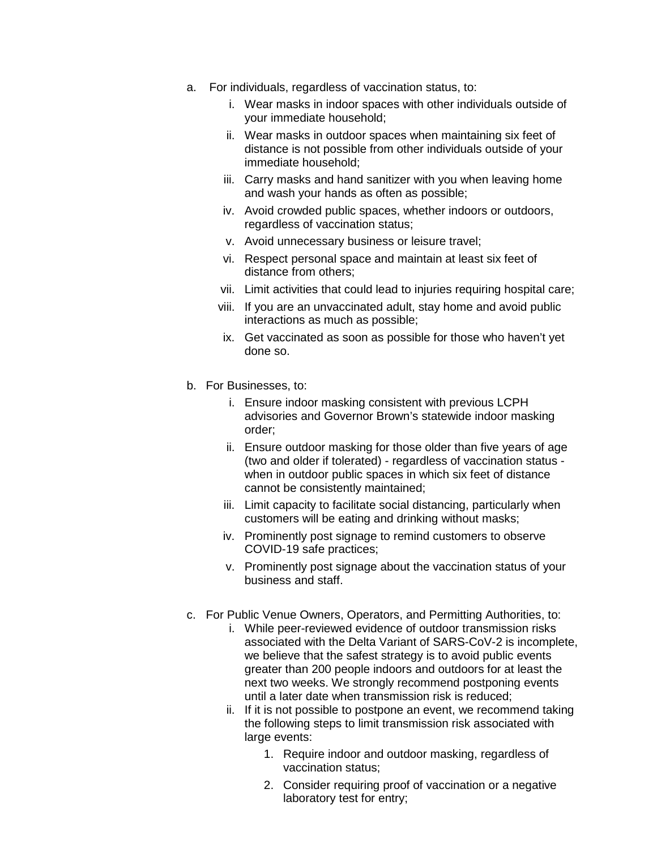- a. For individuals, regardless of vaccination status, to:
	- i. Wear masks in indoor spaces with other individuals outside of your immediate household;
	- ii. Wear masks in outdoor spaces when maintaining six feet of distance is not possible from other individuals outside of your immediate household;
	- iii. Carry masks and hand sanitizer with you when leaving home and wash your hands as often as possible;
	- iv. Avoid crowded public spaces, whether indoors or outdoors, regardless of vaccination status;
	- v. Avoid unnecessary business or leisure travel;
	- vi. Respect personal space and maintain at least six feet of distance from others;
	- vii. Limit activities that could lead to injuries requiring hospital care;
	- viii. If you are an unvaccinated adult, stay home and avoid public interactions as much as possible;
	- ix. Get vaccinated as soon as possible for those who haven't yet done so.
- b. For Businesses, to:
	- i. Ensure indoor masking consistent with previous LCPH advisories and Governor Brown's statewide indoor masking order;
	- ii. Ensure outdoor masking for those older than five years of age (two and older if tolerated) - regardless of vaccination status when in outdoor public spaces in which six feet of distance cannot be consistently maintained;
	- iii. Limit capacity to facilitate social distancing, particularly when customers will be eating and drinking without masks;
	- iv. Prominently post signage to remind customers to observe COVID-19 safe practices;
	- v. Prominently post signage about the vaccination status of your business and staff.
- c. For Public Venue Owners, Operators, and Permitting Authorities, to:
	- i. While peer-reviewed evidence of outdoor transmission risks associated with the Delta Variant of SARS-CoV-2 is incomplete, we believe that the safest strategy is to avoid public events greater than 200 people indoors and outdoors for at least the next two weeks. We strongly recommend postponing events until a later date when transmission risk is reduced;
	- ii. If it is not possible to postpone an event, we recommend taking the following steps to limit transmission risk associated with large events:
		- 1. Require indoor and outdoor masking, regardless of vaccination status;
		- 2. Consider requiring proof of vaccination or a negative laboratory test for entry;